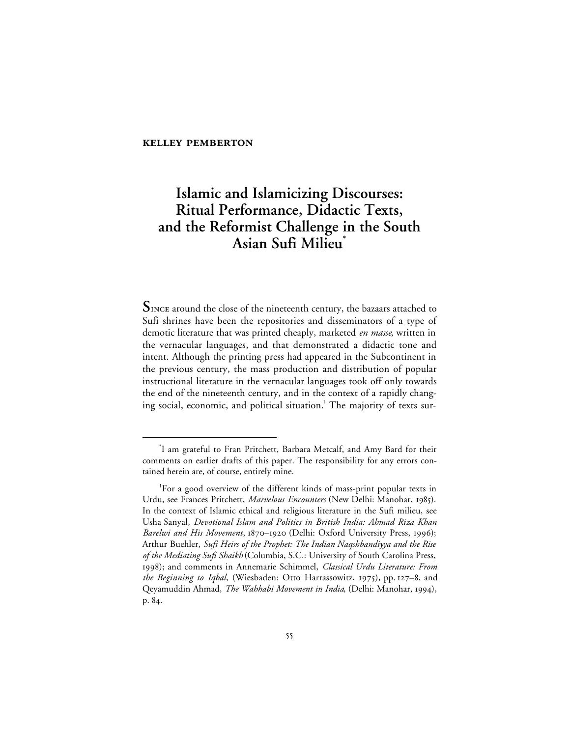# **Islamic and Islamicizing Discourses: Ritual Performance, Didactic Texts, and the Reformist Challenge in the South Asian Sufi Milieu\***

 $S<sub>INCE</sub>$  around the close of the nineteenth century, the bazaars attached to Sufi shrines have been the repositories and disseminators of a type of demotic literature that was printed cheaply, marketed *en masse*, written in the vernacular languages, and that demonstrated a didactic tone and intent. Although the printing press had appeared in the Subcontinent in the previous century, the mass production and distribution of popular instructional literature in the vernacular languages took off only towards the end of the nineteenth century, and in the context of a rapidly changing social, economic, and political situation.<sup>1</sup> The majority of texts sur-

 <sup>\*</sup> I am grateful to Fran Pritchett, Barbara Metcalf, and Amy Bard for their comments on earlier drafts of this paper. The responsibility for any errors contained herein are, of course, entirely mine.

<sup>1</sup> For a good overview of the different kinds of mass-print popular texts in Urdu, see Frances Pritchett, *Marvelous Encounters* (New Delhi: Manohar, 1985). In the context of Islamic ethical and religious literature in the Sufi milieu, see Usha Sanyal, *Devotional Islam and Politics in British India: Ahmad Riza Khan* Barelwi and His Movement, 1870-1920 (Delhi: Oxford University Press, 1996); Arthur Buehler, *Sufi Heirs of the Prophet: The Indian Naqshbandiyya and the Rise of the Mediating Sufi Shaikh* (Columbia, S.C.: University of South Carolina Press, ); and comments in Annemarie Schimmel, *Classical Urdu Literature: From the Beginning to Iqbal*, (Wiesbaden: Otto Harrassowitz, 1975), pp. 127-8, and Qeyamuddin Ahmad, *The Wahhabi Movement in India*, (Delhi: Manohar, 1994), p. 84.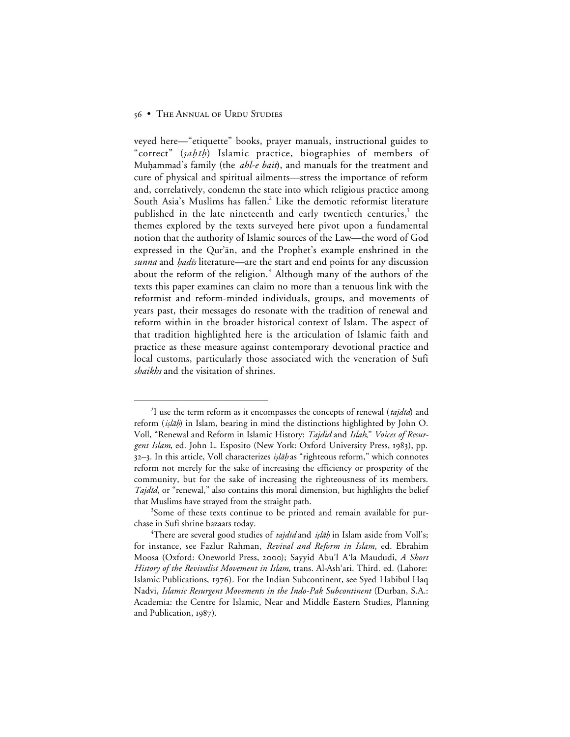veyed here—"etiquette" books, prayer manuals, instructional guides to "correct" (sahih) Islamic practice, biographies of members of Muhammad's family (the *ahl-e bait*), and manuals for the treatment and cure of physical and spiritual ailments—stress the importance of reform and, correlatively, condemn the state into which religious practice among South Asia's Muslims has fallen.<sup>2</sup> Like the demotic reformist literature published in the late nineteenth and early twentieth centuries, $3$  the themes explored by the texts surveyed here pivot upon a fundamental notion that the authority of Islamic sources of the Law—the word of God expressed in the Qur'ān, and the Prophet's example enshrined in the *sunna* and *hadis* literature—are the start and end points for any discussion about the reform of the religion. <sup>4</sup> Although many of the authors of the texts this paper examines can claim no more than a tenuous link with the reformist and reform-minded individuals, groups, and movements of years past, their messages do resonate with the tradition of renewal and reform within in the broader historical context of Islam. The aspect of that tradition highlighted here is the articulation of Islamic faith and practice as these measure against contemporary devotional practice and local customs, particularly those associated with the veneration of Sufi *shaikhs* and the visitation of shrines.

 <sup>2</sup> <sup>2</sup>I use the term reform as it encompasses the concepts of renewal ( $tajdi d$ ) and reform (islah) in Islam, bearing in mind the distinctions highlighted by John O. Voll, "Renewal and Reform in Islamic History: *Tajdid* and *Islah*," *Voices of Resurgent Islam*, ed. John L. Esposito (New York: Oxford University Press, 1983), pp. 32–3. In this article, Voll characterizes *islāḥ* as "righteous reform," which connotes reform not merely for the sake of increasing the efficiency or prosperity of the community, but for the sake of increasing the righteousness of its members. *Tajdīd*, or "renewal," also contains this moral dimension, but highlights the belief that Muslims have strayed from the straight path.

<sup>&</sup>lt;sup>3</sup>Some of these texts continue to be printed and remain available for purchase in Sufi shrine bazaars today.

<sup>&</sup>lt;sup>4</sup>There are several good studies of *tajdīd* and *iṣlāḥ* in Islam aside from Voll's; for instance, see Fazlur Rahman, *Revival and Reform in Islam*, ed. Ebrahim Moosa (Oxford: Oneworld Press, ); Sayyid Abu'l A'la Maududi, *A Short History of the Revivalist Movement in Islam*, trans. Al-Ash'ari. Third. ed. (Lahore: Islamic Publications, 1976). For the Indian Subcontinent, see Syed Habibul Haq Nadvi, *Islamic Resurgent Movements in the Indo-Pak Subcontinent* (Durban, S.A.: Academia: the Centre for Islamic, Near and Middle Eastern Studies, Planning and Publication,  $1987$ ).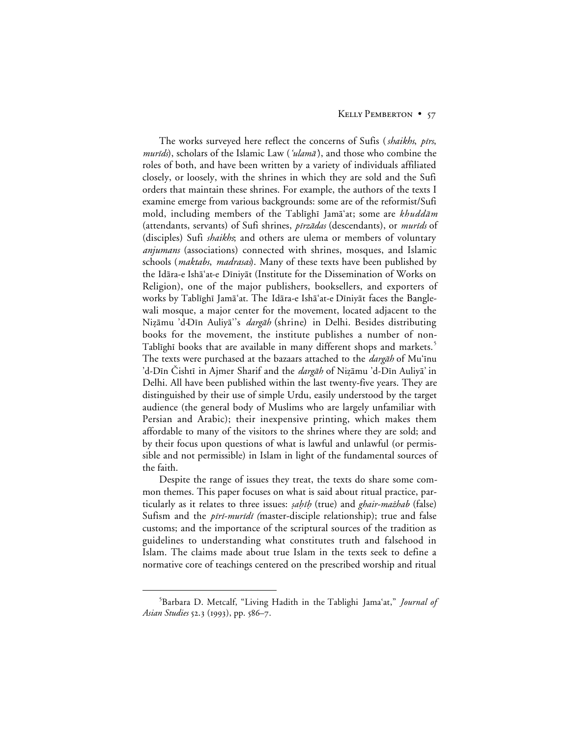The works surveyed here reflect the concerns of Sufis (*shaikhs, pīrs*, murids), scholars of the Islamic Law ('ulamā'), and those who combine the roles of both, and have been written by a variety of individuals affiliated closely, or loosely, with the shrines in which they are sold and the Sufi orders that maintain these shrines. For example, the authors of the texts I examine emerge from various backgrounds: some are of the reformist/Sufi mold, including members of the Tablighi Jamā'at; some are khuddām (attendants, servants) of Sufi shrines, *pīrzādas* (descendants), or *murīds* of (disciples) Sufi *shaikhs*; and others are ulema or members of voluntary *anjumans* (associations) connected with shrines, mosques, and Islamic schools (*maktabs*, *madrasas*). Many of these texts have been published by the Idāra-e Ishā'at-e Dīniyāt (Institute for the Dissemination of Works on Religion), one of the major publishers, booksellers, and exporters of works by Tablīghī Jamāʿat. The Idāra-e Ishāʿat-e Dīniyāt faces the Banglewali mosque, a major center for the movement, located adjacent to the Nizāmu 'd-Dīn Auliyā''s *dargāh* (shrine) in Delhi. Besides distributing books for the movement, the institute publishes a number of non-Tablighi books that are available in many different shops and markets.<sup>5</sup> The texts were purchased at the bazaars attached to the *dargāh* of Mu'īnu 'd-Dīn Čishtī in Ajmer Sharif and the *dargāh* of Nizāmu 'd-Dīn Auliyā' in Delhi. All have been published within the last twenty-five years. They are distinguished by their use of simple Urdu, easily understood by the target audience (the general body of Muslims who are largely unfamiliar with Persian and Arabic); their inexpensive printing, which makes them affordable to many of the visitors to the shrines where they are sold; and by their focus upon questions of what is lawful and unlawful (or permissible and not permissible) in Islam in light of the fundamental sources of the faith.

Despite the range of issues they treat, the texts do share some common themes. This paper focuses on what is said about ritual practice, particularly as it relates to three issues: *sahih* (true) and *ghair-mażhab* (false) Sufism and the *pīrī-murīdī* (master-disciple relationship); true and false customs; and the importance of the scriptural sources of the tradition as guidelines to understanding what constitutes truth and falsehood in Islam. The claims made about true Islam in the texts seek to define a normative core of teachings centered on the prescribed worship and ritual

 $rac{1}{5}$ Barbara D. Metcalf, "Living Hadith in the Tablighi Jama'at," *Journal of Asian Studies* 52.3 (1993), pp. 586–7.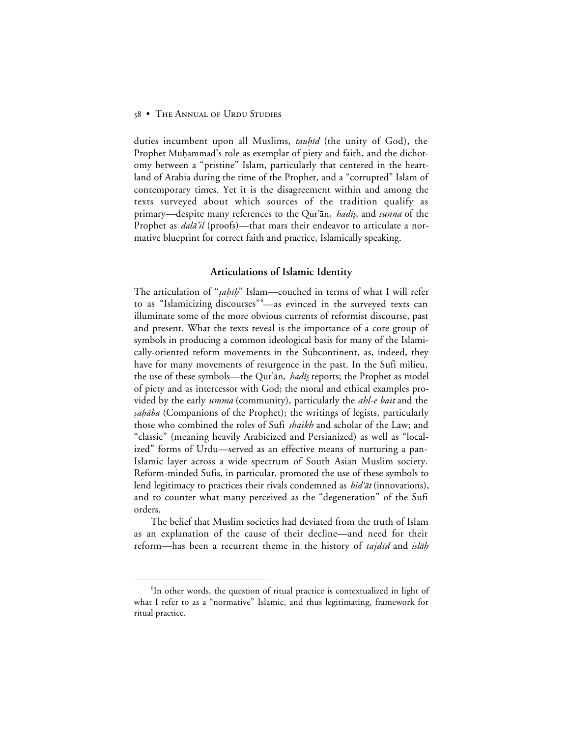duties incumbent upon all Muslims, *tauhid* (the unity of God), the Prophet Muḥammad's role as exemplar of piety and faith, and the dichotomy between a "pristine" Islam, particularly that centered in the heartland of Arabia during the time of the Prophet, and a "corrupted" Islam of contemporary times. Yet it is the disagreement within and among the texts surveyed about which sources of the tradition qualify as primary—despite many references to the Qur'an, *hadis*, and *sunna* of the Prophet as *dalā'il* (proofs)—that mars their endeavor to articulate a normative blueprint for correct faith and practice, Islamically speaking.

## **Articulations of Islamic Identity**

The articulation of "sahih" Islam—couched in terms of what I will refer to as "Islamicizing discourses"<sup>6</sup> —as evinced in the surveyed texts can illuminate some of the more obvious currents of reformist discourse, past and present. What the texts reveal is the importance of a core group of symbols in producing a common ideological basis for many of the Islamically-oriented reform movements in the Subcontinent, as, indeed, they have for many movements of resurgence in the past. In the Sufi milieu, the use of these symbols—the Qur'ān, *hadīs* reports; the Prophet as model of piety and as intercessor with God; the moral and ethical examples provided by the early *umma* (community), particularly the *ahl-e bait* and the sahāba (Companions of the Prophet); the writings of legists, particularly those who combined the roles of Sufi *shaikh* and scholar of the Law; and "classic" (meaning heavily Arabicized and Persianized) as well as "localized" forms of Urdu—served as an effective means of nurturing a pan-Islamic layer across a wide spectrum of South Asian Muslim society. Reform-minded Sufis, in particular, promoted the use of these symbols to lend legitimacy to practices their rivals condemned as  $bid'\bar{a}t$  (innovations), and to counter what many perceived as the "degeneration" of the Sufi orders.

The belief that Muslim societies had deviated from the truth of Islam as an explanation of the cause of their decline—and need for their reform—has been a recurrent theme in the history of *tajdid* and *islah* 

 <sup>6</sup> <sup>6</sup>In other words, the question of ritual practice is contextualized in light of what I refer to as a "normative" Islamic, and thus legitimating, framework for ritual practice.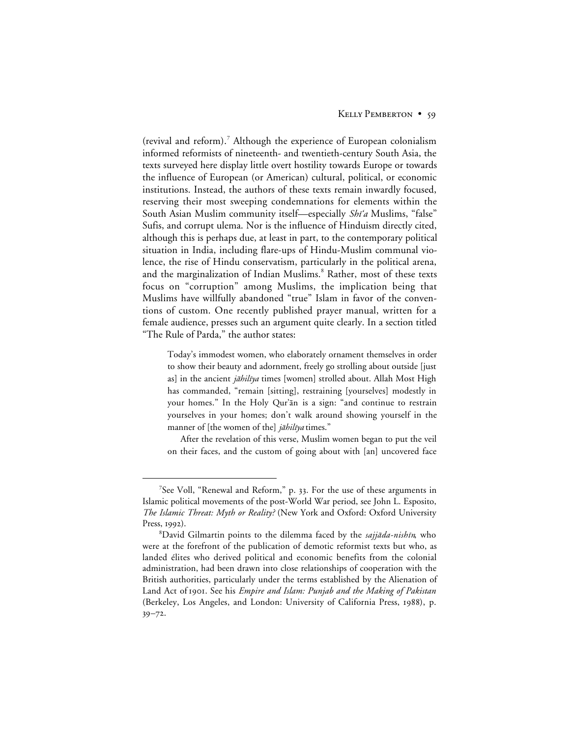(revival and reform).<sup>7</sup> Although the experience of European colonialism informed reformists of nineteenth- and twentieth-century South Asia, the texts surveyed here display little overt hostility towards Europe or towards the influence of European (or American) cultural, political, or economic institutions. Instead, the authors of these texts remain inwardly focused, reserving their most sweeping condemnations for elements within the South Asian Muslim community itself—especially Shi'a Muslims, "false" Sufis, and corrupt ulema. Nor is the influence of Hinduism directly cited, although this is perhaps due, at least in part, to the contemporary political situation in India, including flare-ups of Hindu-Muslim communal violence, the rise of Hindu conservatism, particularly in the political arena, and the marginalization of Indian Muslims.<sup>8</sup> Rather, most of these texts focus on "corruption" among Muslims, the implication being that Muslims have willfully abandoned "true" Islam in favor of the conventions of custom. One recently published prayer manual, written for a female audience, presses such an argument quite clearly. In a section titled "The Rule of Parda," the author states:

Today's immodest women, who elaborately ornament themselves in order to show their beauty and adornment, freely go strolling about outside [just as] in the ancient jāhilīya times [women] strolled about. Allah Most High has commanded, "remain [sitting], restraining [yourselves] modestly in your homes." In the Holy Qur'an is a sign: "and continue to restrain yourselves in your homes; don't walk around showing yourself in the manner of [the women of the]  $i\bar{a}hili\gamma a$  times."

After the revelation of this verse, Muslim women began to put the veil on their faces, and the custom of going about with [an] uncovered face

 $\frac{1}{7}$  $7$ See Voll, "Renewal and Reform," p. 33. For the use of these arguments in Islamic political movements of the post-World War period, see John L. Esposito, *The Islamic Threat: Myth or Reality?* (New York and Oxford: Oxford University Press,  $1992$ ).

<sup>8</sup>David Gilmartin points to the dilemma faced by the sajjāda-nishīn, who were at the forefront of the publication of demotic reformist texts but who, as landed élites who derived political and economic benefits from the colonial administration, had been drawn into close relationships of cooperation with the British authorities, particularly under the terms established by the Alienation of Land Act of 1901. See his *Empire and Islam: Punjab and the Making of Pakistan* (Berkeley, Los Angeles, and London: University of California Press, 1988), p.  $39 - 72.$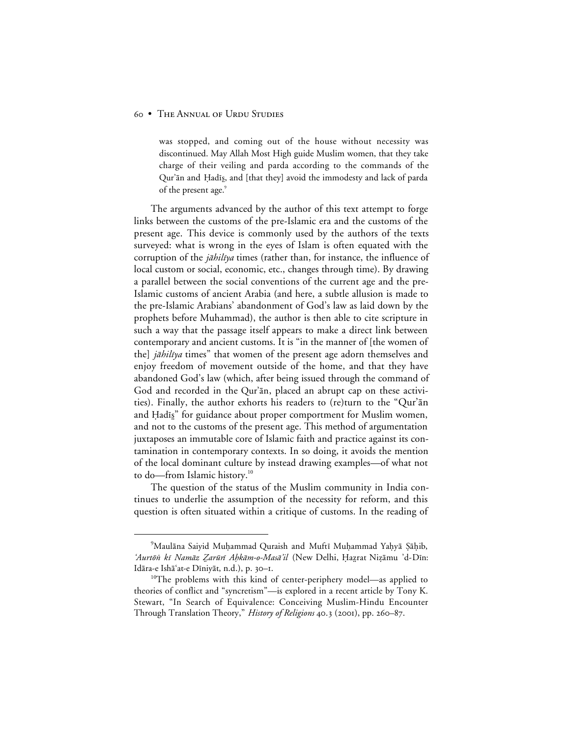was stopped, and coming out of the house without necessity was discontinued. May Allah Most High guide Muslim women, that they take charge of their veiling and parda according to the commands of the Qur'ān and Ḥadīs, and [that they] avoid the immodesty and lack of parda of the present age.<sup>9</sup>

The arguments advanced by the author of this text attempt to forge links between the customs of the pre-Islamic era and the customs of the present age. This device is commonly used by the authors of the texts surveyed: what is wrong in the eyes of Islam is often equated with the corruption of the *jāhilīya* times (rather than, for instance, the influence of local custom or social, economic, etc., changes through time). By drawing a parallel between the social conventions of the current age and the pre-Islamic customs of ancient Arabia (and here, a subtle allusion is made to the pre-Islamic Arabians' abandonment of God's law as laid down by the prophets before Muhammad), the author is then able to cite scripture in such a way that the passage itself appears to make a direct link between contemporary and ancient customs. It is "in the manner of [the women of the] jāhilīya times" that women of the present age adorn themselves and enjoy freedom of movement outside of the home, and that they have abandoned God's law (which, after being issued through the command of God and recorded in the Qur'ān, placed an abrupt cap on these activities). Finally, the author exhorts his readers to (re)turn to the "Qur' $\bar{a}$ n and Hadis" for guidance about proper comportment for Muslim women, and not to the customs of the present age. This method of argumentation juxtaposes an immutable core of Islamic faith and practice against its contamination in contemporary contexts. In so doing, it avoids the mention of the local dominant culture by instead drawing examples—of what not to do—from Islamic history.<sup>10</sup>

The question of the status of the Muslim community in India continues to underlie the assumption of the necessity for reform, and this question is often situated within a critique of customs. In the reading of

 $\frac{1}{\sqrt{9}}$ <sup>9</sup>Maulāna Saiyid Muḥammad Quraish and Muftī Muḥammad Yaḥyā Şāḥib, 'Aurtōn kī Namāz Zarūrī Ahkām-o-Masā'il (New Delhi, Ḥaẓrat Niẓāmu 'd-Dīn: Idāra-e Ishā'at-e Dīniyāt, n.d.), p. 30-1.

<sup>&</sup>lt;sup>10</sup>The problems with this kind of center-periphery model—as applied to theories of conflict and "syncretism"—is explored in a recent article by Tony K. Stewart, "In Search of Equivalence: Conceiving Muslim-Hindu Encounter Through Translation Theory," History of Religions 40.3 (2001), pp. 260-87.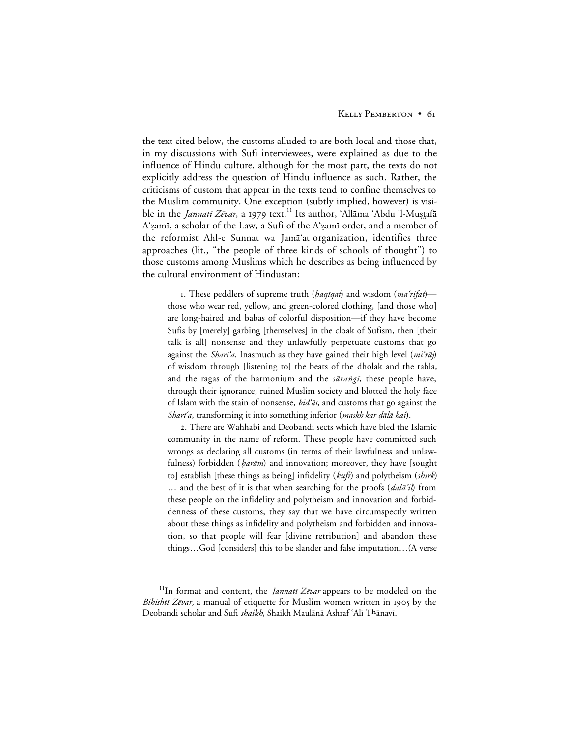the text cited below, the customs alluded to are both local and those that, in my discussions with Sufi interviewees, were explained as due to the influence of Hindu culture, although for the most part, the texts do not explicitly address the question of Hindu influence as such. Rather, the criticisms of custom that appear in the texts tend to confine themselves to the Muslim community. One exception (subtly implied, however) is visible in the *Jannatī Zēvar*, a 1979 text.<sup>11</sup> Its author, 'Allāma 'Abdu 'l-Muṣṯafā A'zamī, a scholar of the Law, a Sufi of the A'zamī order, and a member of the reformist Ahl-e Sunnat wa Jama'at organization, identifies three approaches (lit., "the people of three kinds of schools of thought") to those customs among Muslims which he describes as being influenced by the cultural environment of Hindustan:

1. These peddlers of supreme truth (*haqiqat*) and wisdom (*ma'rifat*) those who wear red, yellow, and green-colored clothing, [and those who] are long-haired and babas of colorful disposition—if they have become Sufis by [merely] garbing [themselves] in the cloak of Sufism, then [their talk is all] nonsense and they unlawfully perpetuate customs that go against the Sharī'a. Inasmuch as they have gained their high level  $(mi' \tilde{m})$ of wisdom through [listening to] the beats of the dholak and the tabla, and the ragas of the harmonium and the sarangi, these people have, through their ignorance, ruined Muslim society and blotted the holy face of Islam with the stain of nonsense, *bid'at*, and customs that go against the Sharī'a, transforming it into something inferior (maskh kar dālā hai).

. There are Wahhabi and Deobandi sects which have bled the Islamic community in the name of reform. These people have committed such wrongs as declaring all customs (in terms of their lawfulness and unlawfulness) forbidden ( $\beta$ ar $\bar{a}$ m) and innovation; moreover, they have [sought] to] establish [these things as being] infidelity (*kufr*) and polytheism (*shirk*) … and the best of it is that when searching for the proofs (*dala'il*) from these people on the infidelity and polytheism and innovation and forbiddenness of these customs, they say that we have circumspectly written about these things as infidelity and polytheism and forbidden and innovation, so that people will fear [divine retribution] and abandon these things…God [considers] this to be slander and false imputation…(A verse

<sup>&</sup>lt;sup>11</sup>In format and content, the *Jannati Zēvar* appears to be modeled on the Bihishtī Zēvar, a manual of etiquette for Muslim women written in 1905 by the Deobandi scholar and Sufi shaikh, Shaikh Maulānā Ashraf 'Alī Thānavī.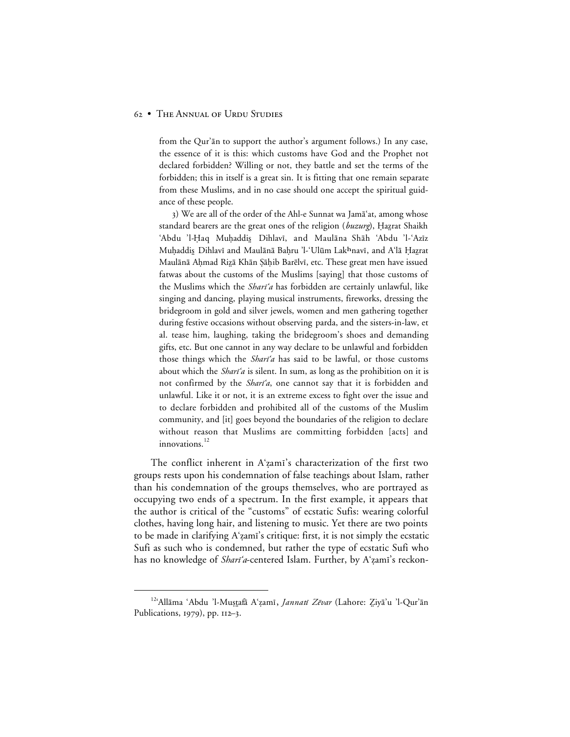from the Qur'ān to support the author's argument follows.) In any case, the essence of it is this: which customs have God and the Prophet not declared forbidden? Willing or not, they battle and set the terms of the forbidden; this in itself is a great sin. It is fitting that one remain separate from these Muslims, and in no case should one accept the spiritual guidance of these people.

3) We are all of the order of the Ahl-e Sunnat wa Jamāʿat, among whose standard bearers are the great ones of the religion (*buzurg*), Hazrat Shaikh 'Abdu 'l-Haq Muḥaddis Dihlavī, and Maulāna Shāh 'Abdu 'l-'Azīz Muḥaddis Dihlavī and Maulānā Baḥru 'l-'Ulūm Lakhnavī, and A'lā Ḥaẓrat Maulānā Aḥmad Riẓā Khān Şāḥib Barēlvī, etc. These great men have issued fatwas about the customs of the Muslims [saying] that those customs of the Muslims which the *Shari'a* has forbidden are certainly unlawful, like singing and dancing, playing musical instruments, fireworks, dressing the bridegroom in gold and silver jewels, women and men gathering together during festive occasions without observing parda, and the sisters-in-law, et al. tease him, laughing, taking the bridegroom's shoes and demanding gifts, etc. But one cannot in any way declare to be unlawful and forbidden those things which the Shari'a has said to be lawful, or those customs about which the *Shari'a* is silent. In sum, as long as the prohibition on it is not confirmed by the *Shari'a*, one cannot say that it is forbidden and unlawful. Like it or not, it is an extreme excess to fight over the issue and to declare forbidden and prohibited all of the customs of the Muslim community, and [it] goes beyond the boundaries of the religion to declare without reason that Muslims are committing forbidden [acts] and innovations. $^{12}$ 

The conflict inherent in A'zami's characterization of the first two groups rests upon his condemnation of false teachings about Islam, rather than his condemnation of the groups themselves, who are portrayed as occupying two ends of a spectrum. In the first example, it appears that the author is critical of the "customs" of ecstatic Sufis: wearing colorful clothes, having long hair, and listening to music. Yet there are two points to be made in clarifying A'zami's critique: first, it is not simply the ecstatic Sufi as such who is condemned, but rather the type of ecstatic Sufi who has no knowledge of *Shari'a*-centered Islam. Further, by A'zami's reckon-

<sup>&</sup>lt;sup>12</sup>'Allāma 'Abdu 'l-Mustafā A'zamī, *Jannatī Zēvar* (Lahore: *Ziyā*'u 'l-Qur'ān Publications,  $1979$ , pp.  $112-3$ .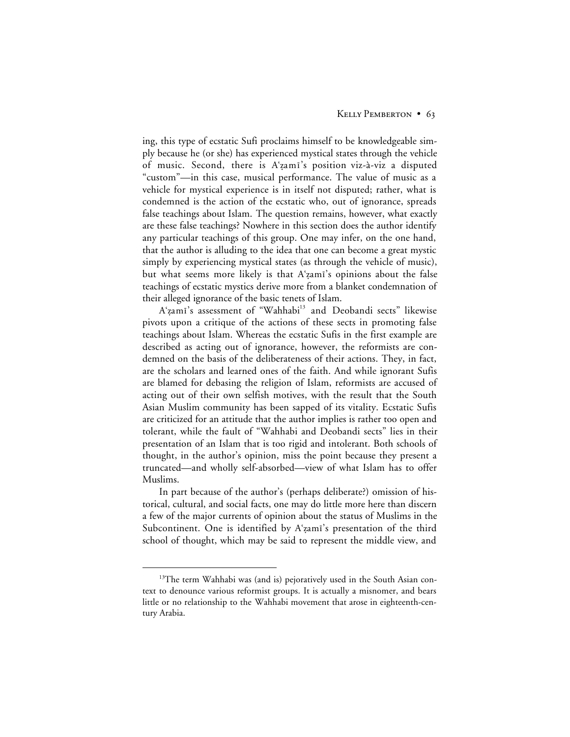ing, this type of ecstatic Sufi proclaims himself to be knowledgeable simply because he (or she) has experienced mystical states through the vehicle of music. Second, there is A'zami's position viz-à-viz a disputed "custom"—in this case, musical performance. The value of music as a vehicle for mystical experience is in itself not disputed; rather, what is condemned is the action of the ecstatic who, out of ignorance, spreads false teachings about Islam. The question remains, however, what exactly are these false teachings? Nowhere in this section does the author identify any particular teachings of this group. One may infer, on the one hand, that the author is alluding to the idea that one can become a great mystic simply by experiencing mystical states (as through the vehicle of music), but what seems more likely is that A'zami's opinions about the false teachings of ecstatic mystics derive more from a blanket condemnation of their alleged ignorance of the basic tenets of Islam.

A'zamī's assessment of "Wahhabi<sup>13</sup> and Deobandi sects" likewise pivots upon a critique of the actions of these sects in promoting false teachings about Islam. Whereas the ecstatic Sufis in the first example are described as acting out of ignorance, however, the reformists are condemned on the basis of the deliberateness of their actions. They, in fact, are the scholars and learned ones of the faith. And while ignorant Sufis are blamed for debasing the religion of Islam, reformists are accused of acting out of their own selfish motives, with the result that the South Asian Muslim community has been sapped of its vitality. Ecstatic Sufis are criticized for an attitude that the author implies is rather too open and tolerant, while the fault of "Wahhabi and Deobandi sects" lies in their presentation of an Islam that is too rigid and intolerant. Both schools of thought, in the author's opinion, miss the point because they present a truncated—and wholly self-absorbed—view of what Islam has to offer Muslims.

In part because of the author's (perhaps deliberate?) omission of historical, cultural, and social facts, one may do little more here than discern a few of the major currents of opinion about the status of Muslims in the Subcontinent. One is identified by A'zami's presentation of the third school of thought, which may be said to represent the middle view, and

<sup>&</sup>lt;sup>13</sup>The term Wahhabi was (and is) pejoratively used in the South Asian context to denounce various reformist groups. It is actually a misnomer, and bears little or no relationship to the Wahhabi movement that arose in eighteenth-century Arabia.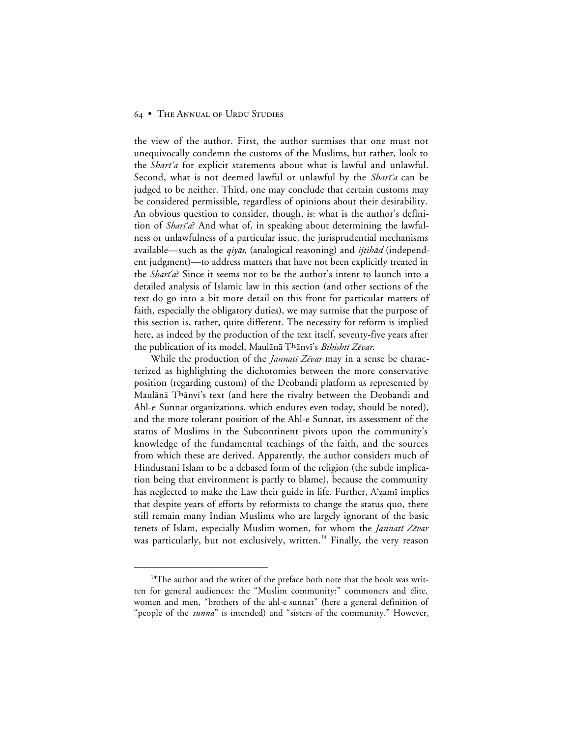the view of the author. First, the author surmises that one must not unequivocally condemn the customs of the Muslims, but rather, look to the *Shari'a* for explicit statements about what is lawful and unlawful. Second, what is not deemed lawful or unlawful by the *Shari'a* can be judged to be neither. Third, one may conclude that certain customs may be considered permissible, regardless of opinions about their desirability. An obvious question to consider, though, is: what is the author's definition of *Shari'a*? And what of, in speaking about determining the lawfulness or unlawfulness of a particular issue, the jurisprudential mechanisms available—such as the  $q \dot{q}$  analogical reasoning) and  $i \dot{q}$  independent judgment)—to address matters that have not been explicitly treated in the *Shari'a*? Since it seems not to be the author's intent to launch into a detailed analysis of Islamic law in this section (and other sections of the text do go into a bit more detail on this front for particular matters of faith, especially the obligatory duties), we may surmise that the purpose of this section is, rather, quite different. The necessity for reform is implied here, as indeed by the production of the text itself, seventy-five years after the publication of its model, Maulānā Thānvī's Bihishtī Zēvar.

While the production of the *Jannatī Zēvar* may in a sense be characterized as highlighting the dichotomies between the more conservative position (regarding custom) of the Deobandi platform as represented by Maulānā Thānvī's text (and here the rivalry between the Deobandi and Ahl-e Sunnat organizations, which endures even today, should be noted), and the more tolerant position of the Ahl-e Sunnat, its assessment of the status of Muslims in the Subcontinent pivots upon the community's knowledge of the fundamental teachings of the faith, and the sources from which these are derived. Apparently, the author considers much of Hindustani Islam to be a debased form of the religion (the subtle implication being that environment is partly to blame), because the community has neglected to make the Law their guide in life. Further,  $A'$  zami implies that despite years of efforts by reformists to change the status quo, there still remain many Indian Muslims who are largely ignorant of the basic tenets of Islam, especially Muslim women, for whom the *Jannatī Zēvar* was particularly, but not exclusively, written.<sup>14</sup> Finally, the very reason

<sup>&</sup>lt;sup>14</sup>The author and the writer of the preface both note that the book was written for general audiences: the "Muslim community:" commoners and élite, women and men, "brothers of the ahl-e sunnat" (here a general definition of "people of the *sunna*" is intended) and "sisters of the community." However,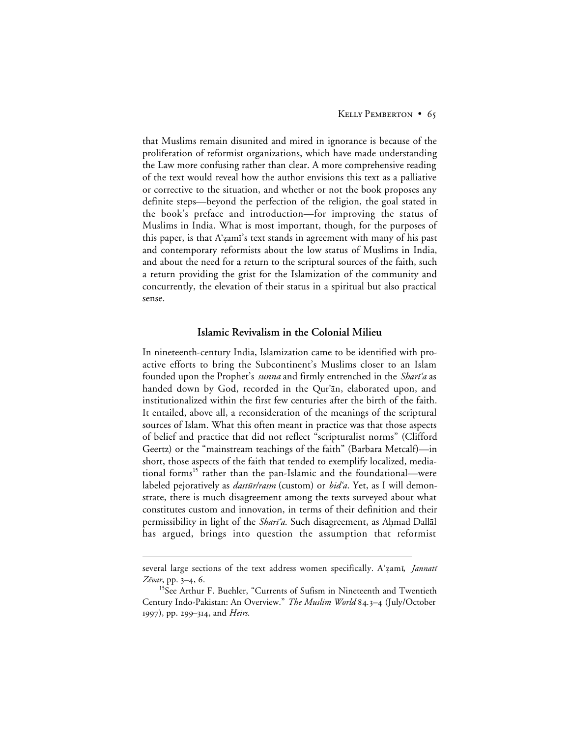that Muslims remain disunited and mired in ignorance is because of the proliferation of reformist organizations, which have made understanding the Law more confusing rather than clear. A more comprehensive reading of the text would reveal how the author envisions this text as a palliative or corrective to the situation, and whether or not the book proposes any definite steps—beyond the perfection of the religion, the goal stated in the book's preface and introduction—for improving the status of Muslims in India. What is most important, though, for the purposes of this paper, is that A'zami's text stands in agreement with many of his past and contemporary reformists about the low status of Muslims in India, and about the need for a return to the scriptural sources of the faith, such a return providing the grist for the Islamization of the community and concurrently, the elevation of their status in a spiritual but also practical sense.

## **Islamic Revivalism in the Colonial Milieu**

In nineteenth-century India, Islamization came to be identified with proactive efforts to bring the Subcontinent's Muslims closer to an Islam founded upon the Prophet's *sunna* and firmly entrenched in the *Shari'a* as handed down by God, recorded in the Qur'an, elaborated upon, and institutionalized within the first few centuries after the birth of the faith. It entailed, above all, a reconsideration of the meanings of the scriptural sources of Islam. What this often meant in practice was that those aspects of belief and practice that did not reflect "scripturalist norms" (Clifford Geertz) or the "mainstream teachings of the faith" (Barbara Metcalf)—in short, those aspects of the faith that tended to exemplify localized, mediational forms<sup>15</sup> rather than the pan-Islamic and the foundational—were labeled pejoratively as *dastūr/rasm* (custom) or *bid'a*. Yet, as I will demonstrate, there is much disagreement among the texts surveyed about what constitutes custom and innovation, in terms of their definition and their permissibility in light of the Sharī'a. Such disagreement, as Ahmad Dallāl has argued, brings into question the assumption that reformist

 $\overline{a}$ 

several large sections of the text address women specifically. A'zami, *Jannati* Zēvar, pp.  $3-4, 6$ .

<sup>&</sup>lt;sup>15</sup>See Arthur F. Buehler, "Currents of Sufism in Nineteenth and Twentieth Century Indo-Pakistan: An Overview." *The Muslim World* 84.3-4 (July/October 1997), pp. 299–314, and *Heirs*.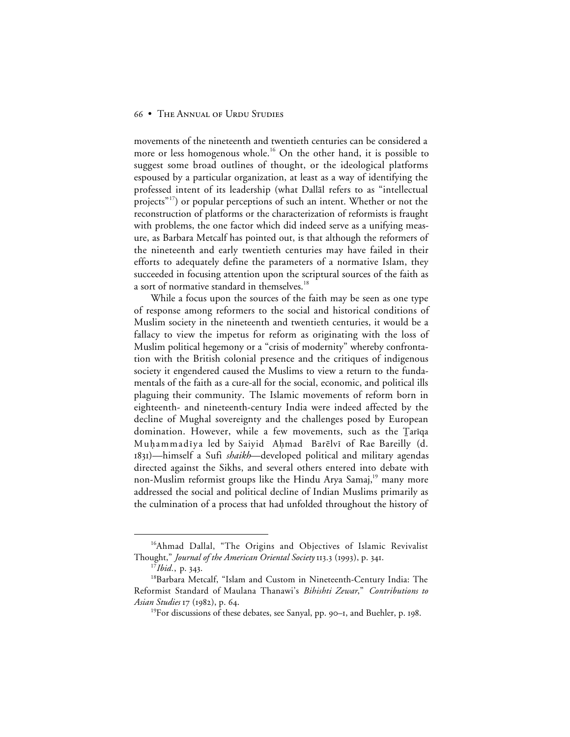movements of the nineteenth and twentieth centuries can be considered a more or less homogenous whole.<sup>16</sup> On the other hand, it is possible to suggest some broad outlines of thought, or the ideological platforms espoused by a particular organization, at least as a way of identifying the professed intent of its leadership (what Dallal refers to as "intellectual projects<sup>"17</sup>) or popular perceptions of such an intent. Whether or not the reconstruction of platforms or the characterization of reformists is fraught with problems, the one factor which did indeed serve as a unifying measure, as Barbara Metcalf has pointed out, is that although the reformers of the nineteenth and early twentieth centuries may have failed in their efforts to adequately define the parameters of a normative Islam, they succeeded in focusing attention upon the scriptural sources of the faith as a sort of normative standard in themselves.<sup>18</sup>

While a focus upon the sources of the faith may be seen as one type of response among reformers to the social and historical conditions of Muslim society in the nineteenth and twentieth centuries, it would be a fallacy to view the impetus for reform as originating with the loss of Muslim political hegemony or a "crisis of modernity" whereby confrontation with the British colonial presence and the critiques of indigenous society it engendered caused the Muslims to view a return to the fundamentals of the faith as a cure-all for the social, economic, and political ills plaguing their community. The Islamic movements of reform born in eighteenth- and nineteenth-century India were indeed affected by the decline of Mughal sovereignty and the challenges posed by European domination. However, while a few movements, such as the Tariqa Muhammadīya led by Saiyid Ahmad Barēlvī of Rae Bareilly (d. )—himself a Sufi *shaikh*—developed political and military agendas directed against the Sikhs, and several others entered into debate with non-Muslim reformist groups like the Hindu Arya Samaj,<sup>19</sup> many more addressed the social and political decline of Indian Muslims primarily as the culmination of a process that had unfolded throughout the history of

<sup>&</sup>lt;sup>16</sup>Ahmad Dallal, "The Origins and Objectives of Islamic Revivalist Thought," *Journal of the American Oriental Society* 113.3 (1993), p. 341.

<sup>&</sup>lt;sup>17</sup>*Ibid.*, p. 343.

<sup>&</sup>lt;sup>18</sup>Barbara Metcalf, "Islam and Custom in Nineteenth-Century India: The Reformist Standard of Maulana Thanawi's *Bihishti Zewar*," *Contributions to Asian Studies* 17 (1982), p. 64.

<sup>&</sup>lt;sup>19</sup>For discussions of these debates, see Sanyal, pp. 90-1, and Buehler, p. 198.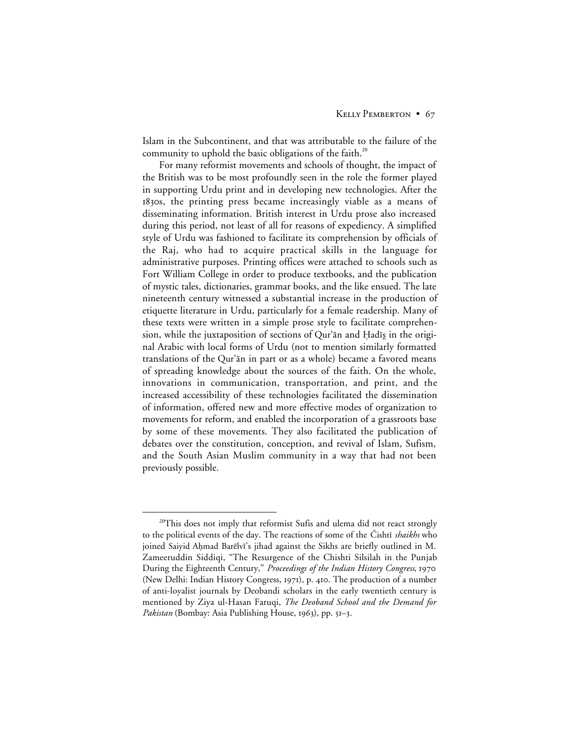Islam in the Subcontinent, and that was attributable to the failure of the community to uphold the basic obligations of the faith.<sup>20</sup>

For many reformist movements and schools of thought, the impact of the British was to be most profoundly seen in the role the former played in supporting Urdu print and in developing new technologies. After the 1830s, the printing press became increasingly viable as a means of disseminating information. British interest in Urdu prose also increased during this period, not least of all for reasons of expediency. A simplified style of Urdu was fashioned to facilitate its comprehension by officials of the Raj, who had to acquire practical skills in the language for administrative purposes. Printing offices were attached to schools such as Fort William College in order to produce textbooks, and the publication of mystic tales, dictionaries, grammar books, and the like ensued. The late nineteenth century witnessed a substantial increase in the production of etiquette literature in Urdu, particularly for a female readership. Many of these texts were written in a simple prose style to facilitate comprehension, while the juxtaposition of sections of Qur'ān and Hadīs in the original Arabic with local forms of Urdu (not to mention similarly formatted translations of the Qur'ān in part or as a whole) became a favored means of spreading knowledge about the sources of the faith. On the whole, innovations in communication, transportation, and print, and the increased accessibility of these technologies facilitated the dissemination of information, offered new and more effective modes of organization to movements for reform, and enabled the incorporation of a grassroots base by some of these movements. They also facilitated the publication of debates over the constitution, conception, and revival of Islam, Sufism, and the South Asian Muslim community in a way that had not been previously possible.

<sup>&</sup>lt;sup>20</sup>This does not imply that reformist Sufis and ulema did not react strongly to the political events of the day. The reactions of some of the Cishti *shaikhs* who joined Saiyid Aḥmad Barēlvī's jihad against the Sikhs are briefly outlined in M. Zameeruddin Siddiqi, "The Resurgence of the Chishti Silsilah in the Punjab During the Eighteenth Century," *Proceedings of the Indian History Congress*, (New Delhi: Indian History Congress, 1971), p. 410. The production of a number of anti-loyalist journals by Deobandi scholars in the early twentieth century is mentioned by Ziya ul-Hasan Faruqi, *The Deoband School and the Demand for Pakistan* (Bombay: Asia Publishing House, 1963), pp. 51–3.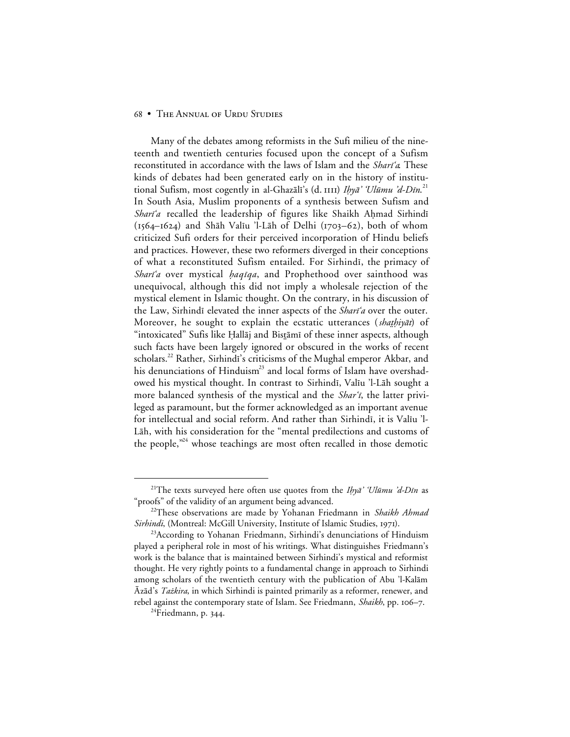Many of the debates among reformists in the Sufi milieu of the nineteenth and twentieth centuries focused upon the concept of a Sufism reconstituted in accordance with the laws of Islam and the Shari'a. These kinds of debates had been generated early on in the history of institutional Sufism, most cogently in al-Ghazālī's (d. 1111) *Ihyā' 'Ulūmu 'd-Dīn*.<sup>21</sup> In South Asia, Muslim proponents of a synthesis between Sufism and Shari'a recalled the leadership of figures like Shaikh Ahmad Sirhindī  $(1564-1624)$  and Shāh Valīu 'l-Lāh of Delhi (1703–62), both of whom criticized Sufi orders for their perceived incorporation of Hindu beliefs and practices. However, these two reformers diverged in their conceptions of what a reconstituted Sufism entailed. For Sirhindi, the primacy of Shari'a over mystical haqiqa, and Prophethood over sainthood was unequivocal, although this did not imply a wholesale rejection of the mystical element in Islamic thought. On the contrary, in his discussion of the Law, Sirhindi elevated the inner aspects of the *Shari'a* over the outer. Moreover, he sought to explain the ecstatic utterances (shathiyat) of "intoxicated" Sufis like Ḥallāj and Bistāmī of these inner aspects, although such facts have been largely ignored or obscured in the works of recent scholars.<sup>22</sup> Rather, Sirhindi's criticisms of the Mughal emperor Akbar, and his denunciations of Hinduism<sup>23</sup> and local forms of Islam have overshadowed his mystical thought. In contrast to Sirhindi, Valiu 'l-Lāh sought a more balanced synthesis of the mystical and the *Shar'i*, the latter privileged as paramount, but the former acknowledged as an important avenue for intellectual and social reform. And rather than Sirhindī, it is Valīu 'l-Lāh, with his consideration for the "mental predilections and customs of the people, $^{224}$  whose teachings are most often recalled in those demotic

<sup>&</sup>lt;sup>21</sup>The texts surveyed here often use quotes from the Ihyā' 'Ulūmu 'd-Dīn as "proofs" of the validity of an argument being advanced.

<sup>22</sup>These observations are made by Yohanan Friedmann in *Shaikh Ahmad Sirhindi*, (Montreal: McGill University, Institute of Islamic Studies, 1971).

<sup>&</sup>lt;sup>23</sup>According to Yohanan Friedmann, Sirhindi's denunciations of Hinduism played a peripheral role in most of his writings. What distinguishes Friedmann's work is the balance that is maintained between Sirhindi's mystical and reformist thought. He very rightly points to a fundamental change in approach to Sirhindi among scholars of the twentieth century with the publication of Abu 'l-Kalām Azād's *Tażkira*, in which Sirhindi is painted primarily as a reformer, renewer, and rebel against the contemporary state of Islam. See Friedmann, *Shaikh*, pp. 106–7.

<sup>&</sup>lt;sup>24</sup>Friedmann, p. 344.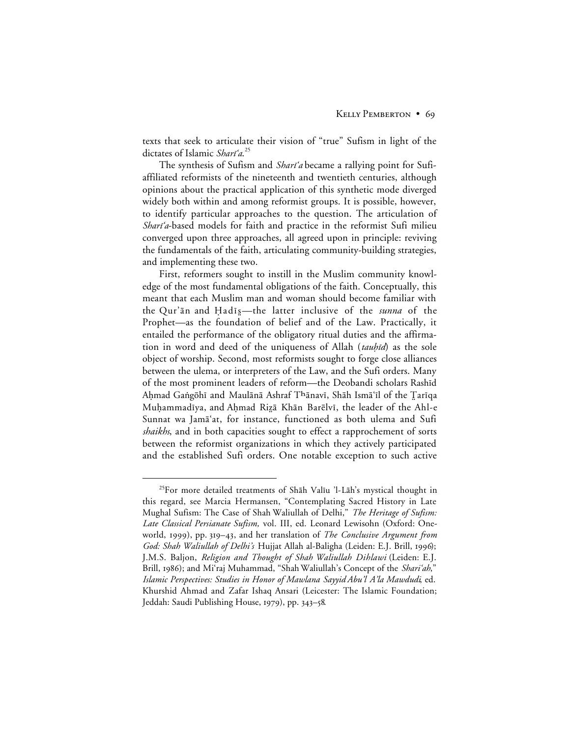texts that seek to articulate their vision of "true" Sufism in light of the dictates of Islamic Shari'a.<sup>25</sup>

The synthesis of Sufism and *Shari'a* became a rallying point for Sufiaffiliated reformists of the nineteenth and twentieth centuries, although opinions about the practical application of this synthetic mode diverged widely both within and among reformist groups. It is possible, however, to identify particular approaches to the question. The articulation of Shari'a-based models for faith and practice in the reformist Sufi milieu converged upon three approaches, all agreed upon in principle: reviving the fundamentals of the faith, articulating community-building strategies, and implementing these two.

First, reformers sought to instill in the Muslim community knowledge of the most fundamental obligations of the faith. Conceptually, this meant that each Muslim man and woman should become familiar with the Qur'an and Hadis—the latter inclusive of the *sunna* of the Prophet—as the foundation of belief and of the Law. Practically, it entailed the performance of the obligatory ritual duties and the affirmation in word and deed of the uniqueness of Allah (tauhid) as the sole object of worship. Second, most reformists sought to forge close alliances between the ulema, or interpreters of the Law, and the Sufi orders. Many of the most prominent leaders of reform—the Deobandi scholars Rashīd Aḥmad Gaṅgōhī and Maulānā Ashraf Tʰānavī, Shāh Ismāʿīl of the Ţarīqa Muhammadīya, and Ahmad Rizā Khān Barēlvī, the leader of the Ahl-e Sunnat wa Jamā'at, for instance, functioned as both ulema and Sufi *shaikhs*, and in both capacities sought to effect a rapprochement of sorts between the reformist organizations in which they actively participated and the established Sufi orders. One notable exception to such active

<sup>&</sup>lt;sup>25</sup>For more detailed treatments of Shāh Valīu 'l-Lāh's mystical thought in this regard, see Marcia Hermansen, "Contemplating Sacred History in Late Mughal Sufism: The Case of Shah Waliullah of Delhi," *The Heritage of Sufism: Late Classical Persianate Sufism,* vol. III, ed. Leonard Lewisohn (Oxford: Oneworld, 1999), pp. 319–43, and her translation of *The Conclusive Argument from* God: Shah Waliullah of Delhi's Hujjat Allah al-Baligha (Leiden: E.J. Brill, 1996); J.M.S. Baljon, *Religion and Thought of Shah Waliullah Dihlawi* (Leiden: E.J. Brill, 1986); and Mi'raj Muhammad, "Shah Waliullah's Concept of the *Shari'ah*," *Islamic Perspectives: Studies in Honor of Mawlana Sayyid Abu'l A'la Mawdudi*, ed. Khurshid Ahmad and Zafar Ishaq Ansari (Leicester: The Islamic Foundation; Jeddah: Saudi Publishing House, 1979), pp. 343–58.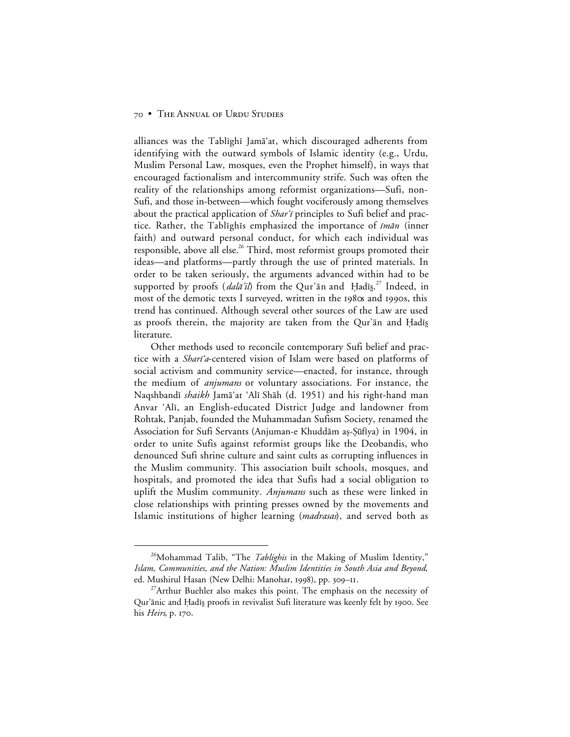alliances was the Tablighi Jamā'at, which discouraged adherents from identifying with the outward symbols of Islamic identity (e.g., Urdu, Muslim Personal Law, mosques, even the Prophet himself), in ways that encouraged factionalism and intercommunity strife. Such was often the reality of the relationships among reformist organizations—Sufi, non-Sufi, and those in-between—which fought vociferously among themselves about the practical application of Shar'i principles to Sufi belief and practice. Rather, the Tablighis emphasized the importance of  $\bar{t}$ m $\bar{a}$ n (inner faith) and outward personal conduct, for which each individual was responsible, above all else.<sup>26</sup> Third, most reformist groups promoted their ideas—and platforms—partly through the use of printed materials. In order to be taken seriously, the arguments advanced within had to be supported by proofs (*dalā'il*) from the Qur'ān and Ḥadīs̯.<sup>27</sup> Indeed, in most of the demotic texts I surveyed, written in the  $198\alpha$  and 1990s, this trend has continued. Although several other sources of the Law are used as proofs therein, the majority are taken from the Qur'ān and Ḥadīs literature.

Other methods used to reconcile contemporary Sufi belief and practice with a *Shari'a*-centered vision of Islam were based on platforms of social activism and community service—enacted, for instance, through the medium of *anjumans* or voluntary associations. For instance, the Naqshbandµ *shaikh* Jam≥'at 'Alµ Sh≥h (d. 1951) and his right-hand man Anvar 'Alī, an English-educated District Judge and landowner from Rohtak, Panjab, founded the Muhammadan Sufism Society, renamed the Association for Sufi Servants (Anjuman-e Khuddām aș-Şūfīya) in 1904, in order to unite Sufis against reformist groups like the Deobandis, who denounced Sufi shrine culture and saint cults as corrupting influences in the Muslim community. This association built schools, mosques, and hospitals, and promoted the idea that Sufis had a social obligation to uplift the Muslim community. *Anjumans* such as these were linked in close relationships with printing presses owned by the movements and Islamic institutions of higher learning (*madrasas*), and served both as

<sup>&</sup>lt;sup>26</sup>Mohammad Talib, "The *Tablighis* in the Making of Muslim Identity," *Islam, Communities, and the Nation: Muslim Identities in South Asia and Beyond*, ed. Mushirul Hasan (New Delhi: Manohar, 1998), pp. 309-11.

<sup>&</sup>lt;sup>27</sup>Arthur Buehler also makes this point. The emphasis on the necessity of Qur'ānic and Ḥadīs proofs in revivalist Sufi literature was keenly felt by 1900. See his *Heirs*, p. 170.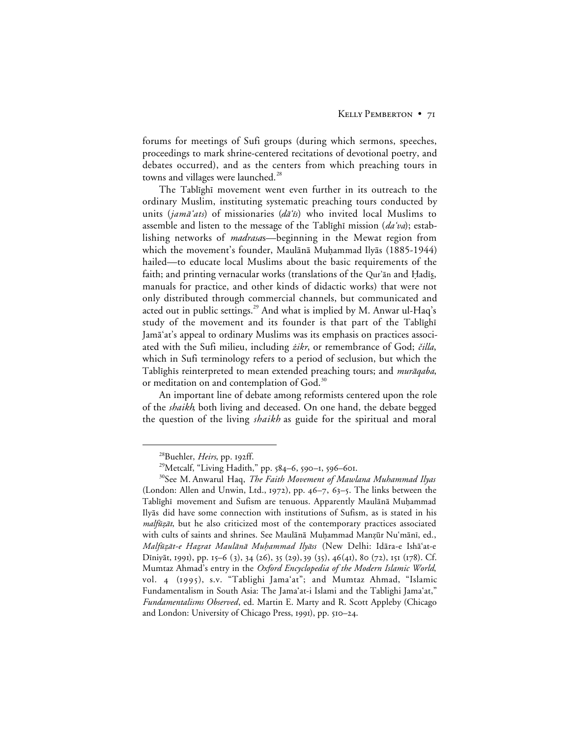forums for meetings of Sufi groups (during which sermons, speeches, proceedings to mark shrine-centered recitations of devotional poetry, and debates occurred), and as the centers from which preaching tours in towns and villages were launched.<sup>28</sup>

The Tablighi movement went even further in its outreach to the ordinary Muslim, instituting systematic preaching tours conducted by units (jamā'ats) of missionaries (dā'is) who invited local Muslims to assemble and listen to the message of the Tablighi mission  $(da'va)$ ; establishing networks of *madrasa*s—beginning in the Mewat region from which the movement's founder, Maulānā Muḥammad Ilyās (1885-1944) hailed—to educate local Muslims about the basic requirements of the faith; and printing vernacular works (translations of the Qur'ān and Hadīs, manuals for practice, and other kinds of didactic works) that were not only distributed through commercial channels, but communicated and acted out in public settings.<sup>29</sup> And what is implied by M. Anwar ul-Haq's study of the movement and its founder is that part of the Tablighi Jamā'at's appeal to ordinary Muslims was its emphasis on practices associated with the Sufi milieu, including *żikr*, or remembrance of God; čilla, which in Sufi terminology refers to a period of seclusion, but which the Tablighis reinterpreted to mean extended preaching tours; and *murāqaba*, or meditation on and contemplation of God.<sup>30</sup>

An important line of debate among reformists centered upon the role of the *shaikh*, both living and deceased. On one hand, the debate begged the question of the living *shaikh* as guide for the spiritual and moral

<sup>&</sup>lt;sup>28</sup>Buehler, *Heirs*, pp. 192ff.

<sup>&</sup>lt;sup>29</sup>Metcalf, "Living Hadith," pp. 584-6, 590-1, 596-601.

<sup>30</sup>See M. Anwarul Haq, *The Faith Movement of Mawlana Muhammad Ilyas* (London: Allen and Unwin, Ltd., 1972), pp.  $46-7$ ,  $63-5$ . The links between the Tablīghī movement and Sufism are tenuous. Apparently Maulānā Muḥammad Ily≥s did have some connection with institutions of Sufism, as is stated in his malfūzāt, but he also criticized most of the contemporary practices associated with cults of saints and shrines. See Maulānā Muḥammad Manzūr Nu'mānī, ed., Malfūzāt-e Hazrat Maulānā Muhammad Ilyāss (New Delhi: Idāra-e Ishā'at-e Dīniyāt, 1991), pp. 15–6 (3), 34 (26), 35 (29), 39 (35), 46(41), 80 (72), 151 (178). Cf. Mumtaz Ahmad's entry in the *Oxford Encyclopedia of the Modern Islamic World*, vol. 4 (1995), s.v. "Tablighi Jama'at"; and Mumtaz Ahmad, "Islamic Fundamentalism in South Asia: The Jama'at-i Islami and the Tablighi Jama'at," *Fundamentalisms Observed*, ed. Martin E. Marty and R. Scott Appleby (Chicago and London: University of Chicago Press, 1991), pp. 510–24.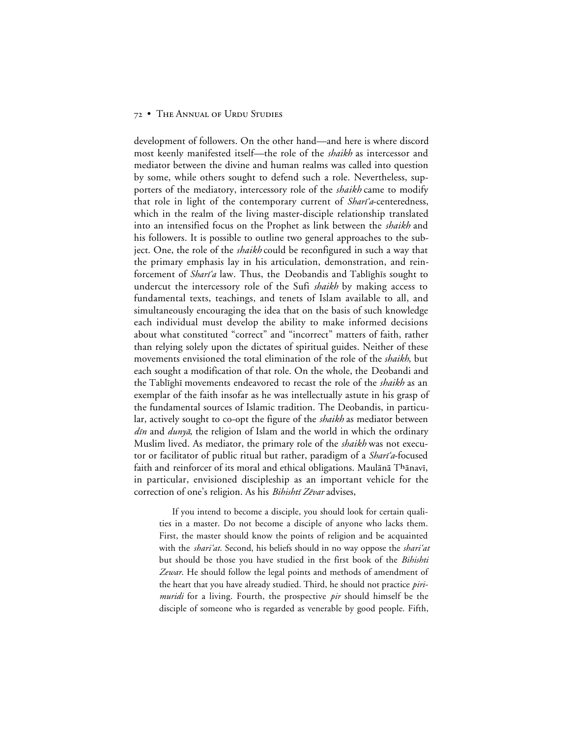development of followers. On the other hand—and here is where discord most keenly manifested itself—the role of the *shaikh* as intercessor and mediator between the divine and human realms was called into question by some, while others sought to defend such a role. Nevertheless, supporters of the mediatory, intercessory role of the *shaikh* came to modify that role in light of the contemporary current of *Shari'a*-centeredness, which in the realm of the living master-disciple relationship translated into an intensified focus on the Prophet as link between the *shaikh* and his followers. It is possible to outline two general approaches to the subject. One, the role of the *shaikh* could be reconfigured in such a way that the primary emphasis lay in his articulation, demonstration, and reinforcement of *Shari'a* law. Thus, the Deobandis and Tablighis sought to undercut the intercessory role of the Sufi *shaikh* by making access to fundamental texts, teachings, and tenets of Islam available to all, and simultaneously encouraging the idea that on the basis of such knowledge each individual must develop the ability to make informed decisions about what constituted "correct" and "incorrect" matters of faith, rather than relying solely upon the dictates of spiritual guides. Neither of these movements envisioned the total elimination of the role of the *shaikh*, but each sought a modification of that role. On the whole, the Deobandi and the Tablighi movements endeavored to recast the role of the *shaikh* as an exemplar of the faith insofar as he was intellectually astute in his grasp of the fundamental sources of Islamic tradition. The Deobandis, in particular, actively sought to co-opt the figure of the *shaikh* as mediator between *din* and *duny* $\bar{a}$ , the religion of Islam and the world in which the ordinary Muslim lived. As mediator, the primary role of the *shaikh* was not executor or facilitator of public ritual but rather, paradigm of a Shari'a-focused faith and reinforcer of its moral and ethical obligations. Maulānā Thānavī, in particular, envisioned discipleship as an important vehicle for the correction of one's religion. As his *Bihishtī Zēvar* advises,

If you intend to become a disciple, you should look for certain qualities in a master. Do not become a disciple of anyone who lacks them. First, the master should know the points of religion and be acquainted with the *shari'at*. Second, his beliefs should in no way oppose the *shari'at* but should be those you have studied in the first book of the *Bihishti Zewar*. He should follow the legal points and methods of amendment of the heart that you have already studied. Third, he should not practice *pirimuridi* for a living. Fourth, the prospective *pir* should himself be the disciple of someone who is regarded as venerable by good people. Fifth,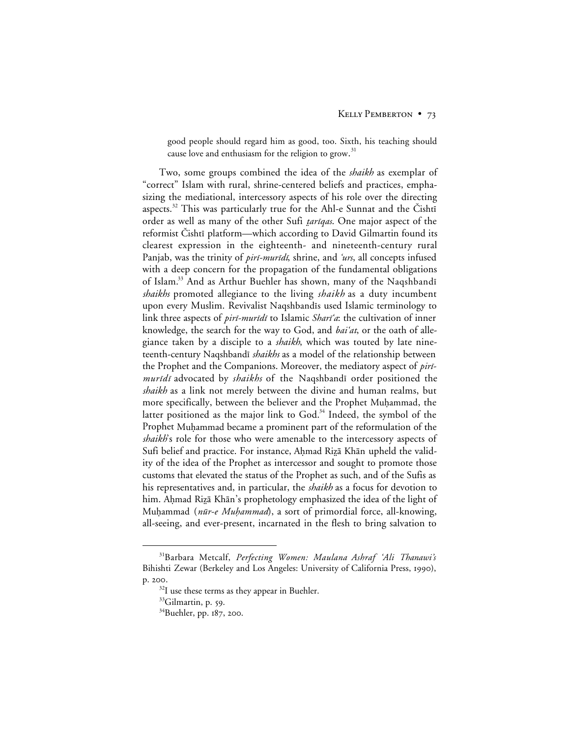good people should regard him as good, too. Sixth, his teaching should cause love and enthusiasm for the religion to grow.<sup>31</sup>

Two, some groups combined the idea of the *shaikh* as exemplar of "correct" Islam with rural, shrine-centered beliefs and practices, emphasizing the mediational, intercessory aspects of his role over the directing aspects.<sup>32</sup> This was particularly true for the Ahl-e Sunnat and the Čishtī order as well as many of the other Sufi *tariqas*. One major aspect of the reformist Cishti platform—which according to David Gilmartin found its clearest expression in the eighteenth- and nineteenth-century rural Panjab, was the trinity of *piri-muridi*, shrine, and 'urs, all concepts infused with a deep concern for the propagation of the fundamental obligations of Islam.<sup>33</sup> And as Arthur Buehler has shown, many of the Naqshbandī *shaikhs* promoted allegiance to the living *shaikh* as a duty incumbent upon every Muslim. Revivalist Naqshbandīs used Islamic terminology to link three aspects of *piri-muridi* to Islamic *Shari'a*: the cultivation of inner knowledge, the search for the way to God, and *bai'at*, or the oath of allegiance taken by a disciple to a *shaikh*, which was touted by late nineteenth-century Naqshbandī *shaikhs* as a model of the relationship between the Prophet and the Companions. Moreover, the mediatory aspect of *piri*muridi advocated by *shaikhs* of the Naqshbandi order positioned the *shaikh* as a link not merely between the divine and human realms, but more specifically, between the believer and the Prophet Muhammad, the latter positioned as the major link to God. $34$  Indeed, the symbol of the Prophet Muḥammad became a prominent part of the reformulation of the *shaikh*'s role for those who were amenable to the intercessory aspects of Sufi belief and practice. For instance, Ahmad Rizā Khān upheld the validity of the idea of the Prophet as intercessor and sought to promote those customs that elevated the status of the Prophet as such, and of the Sufis as his representatives and, in particular, the *shaikh* as a focus for devotion to him. Ahmad Rizā Khān's prophetology emphasized the idea of the light of Muḥammad (nūr-e Muḥammad), a sort of primordial force, all-knowing, all-seeing, and ever-present, incarnated in the flesh to bring salvation to

 <sup>31</sup>Barbara Metcalf, *Perfecting Women: Maulana Ashraf 'Ali Thanawi's* Bihishti Zewar (Berkeley and Los Angeles: University of California Press, 1990), p. 200.

 $32I$  use these terms as they appear in Buehler.

<sup>&</sup>lt;sup>33</sup>Gilmartin, p. 59.

<sup>&</sup>lt;sup>34</sup>Buehler, pp. 187, 200.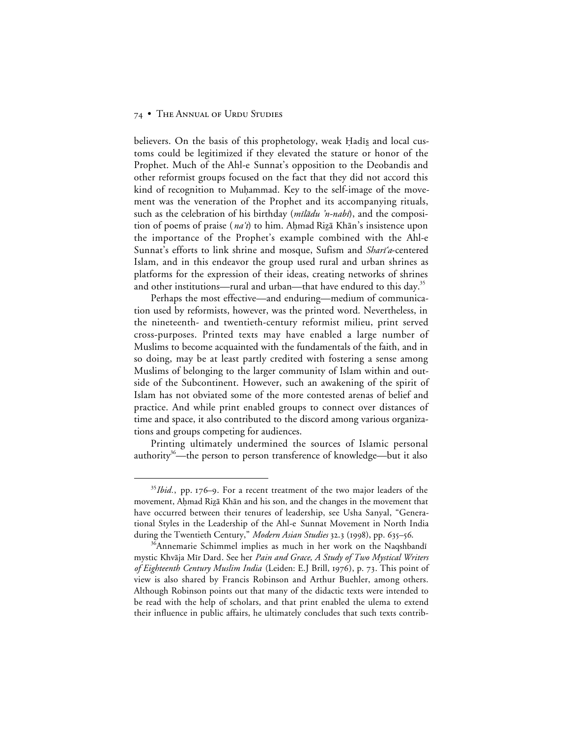believers. On the basis of this prophetology, weak Hadis and local customs could be legitimized if they elevated the stature or honor of the Prophet. Much of the Ahl-e Sunnat's opposition to the Deobandis and other reformist groups focused on the fact that they did not accord this kind of recognition to Muhammad. Key to the self-image of the movement was the veneration of the Prophet and its accompanying rituals, such as the celebration of his birthday (milādu 'n-nabī), and the composition of poems of praise (*na't*) to him. Ahmad Rizā Khān's insistence upon the importance of the Prophet's example combined with the Ahl-e Sunnat's efforts to link shrine and mosque, Sufism and Shari'a-centered Islam, and in this endeavor the group used rural and urban shrines as platforms for the expression of their ideas, creating networks of shrines and other institutions—rural and urban—that have endured to this day.<sup>35</sup>

Perhaps the most effective—and enduring—medium of communication used by reformists, however, was the printed word. Nevertheless, in the nineteenth- and twentieth-century reformist milieu, print served cross-purposes. Printed texts may have enabled a large number of Muslims to become acquainted with the fundamentals of the faith, and in so doing, may be at least partly credited with fostering a sense among Muslims of belonging to the larger community of Islam within and outside of the Subcontinent. However, such an awakening of the spirit of Islam has not obviated some of the more contested arenas of belief and practice. And while print enabled groups to connect over distances of time and space, it also contributed to the discord among various organizations and groups competing for audiences.

Printing ultimately undermined the sources of Islamic personal authority<sup>36</sup>—the person to person transference of knowledge—but it also

<sup>&</sup>lt;sup>35</sup>*Ibid.*, pp. 176-9. For a recent treatment of the two major leaders of the movement, Ahmad Rizā Khān and his son, and the changes in the movement that have occurred between their tenures of leadership, see Usha Sanyal, "Generational Styles in the Leadership of the Ahl-e Sunnat Movement in North India during the Twentieth Century," *Modern Asian Studies* 32.3 (1998), pp. 635–56.

<sup>&</sup>lt;sup>36</sup>Annemarie Schimmel implies as much in her work on the Naqshbandī mystic Khvāja Mīr Dard. See her Pain and Grace, A Study of Two Mystical Writers *of Eighteenth Century Muslim India* (Leiden: E.J Brill, 1976), p. 73. This point of view is also shared by Francis Robinson and Arthur Buehler, among others. Although Robinson points out that many of the didactic texts were intended to be read with the help of scholars, and that print enabled the ulema to extend their influence in public affairs, he ultimately concludes that such texts contrib-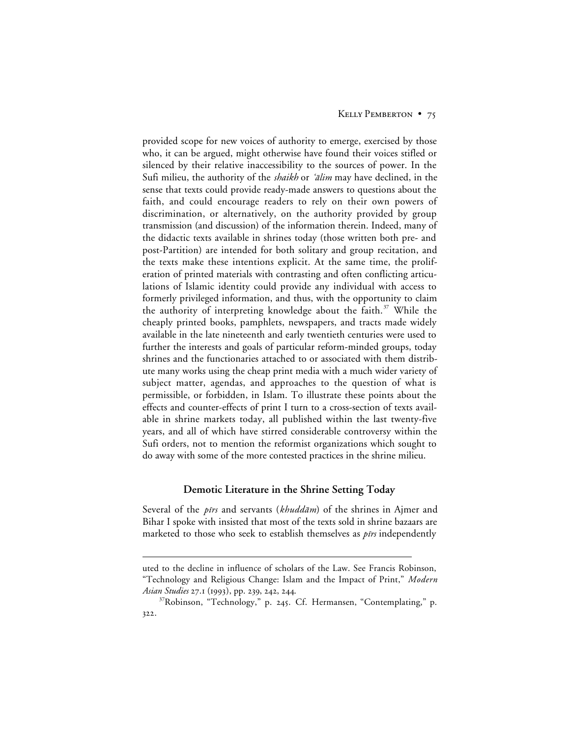provided scope for new voices of authority to emerge, exercised by those who, it can be argued, might otherwise have found their voices stifled or silenced by their relative inaccessibility to the sources of power. In the Sufi milieu, the authority of the *shaikh* or *'alim* may have declined, in the sense that texts could provide ready-made answers to questions about the faith, and could encourage readers to rely on their own powers of discrimination, or alternatively, on the authority provided by group transmission (and discussion) of the information therein. Indeed, many of the didactic texts available in shrines today (those written both pre- and post-Partition) are intended for both solitary and group recitation, and the texts make these intentions explicit. At the same time, the proliferation of printed materials with contrasting and often conflicting articulations of Islamic identity could provide any individual with access to formerly privileged information, and thus, with the opportunity to claim the authority of interpreting knowledge about the faith.<sup>37</sup> While the cheaply printed books, pamphlets, newspapers, and tracts made widely available in the late nineteenth and early twentieth centuries were used to further the interests and goals of particular reform-minded groups, today shrines and the functionaries attached to or associated with them distribute many works using the cheap print media with a much wider variety of subject matter, agendas, and approaches to the question of what is permissible, or forbidden, in Islam. To illustrate these points about the effects and counter-effects of print I turn to a cross-section of texts available in shrine markets today, all published within the last twenty-five years, and all of which have stirred considerable controversy within the Sufi orders, not to mention the reformist organizations which sought to do away with some of the more contested practices in the shrine milieu.

## **Demotic Literature in the Shrine Setting Today**

Several of the *pirs* and servants (khudd $\bar{a}$ m) of the shrines in Ajmer and Bihar I spoke with insisted that most of the texts sold in shrine bazaars are marketed to those who seek to establish themselves as  $\tilde{p}$  independently

 $\overline{a}$ 

uted to the decline in influence of scholars of the Law. See Francis Robinson, "Technology and Religious Change: Islam and the Impact of Print," *Modern Asian Studies* 27.1 (1993), pp. 239, 242, 244.

<sup>&</sup>lt;sup>37</sup>Robinson, "Technology," p. 245. Cf. Hermansen, "Contemplating," p. 322.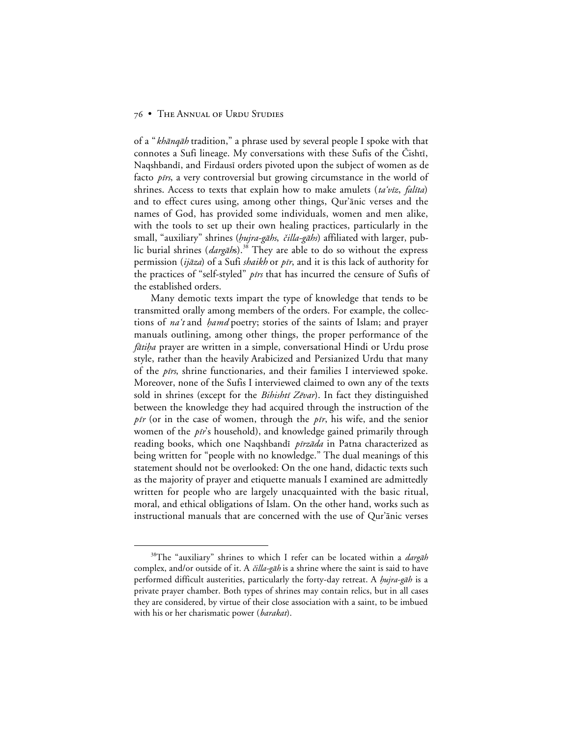of a "*khānqāh* tradition," a phrase used by several people I spoke with that connotes a Sufi lineage. My conversations with these Sufis of the Cishti, Naqshbandī, and Firdausī orders pivoted upon the subject of women as de facto *pirs*, a very controversial but growing circumstance in the world of shrines. Access to texts that explain how to make amulets (ta'viz, falita) and to effect cures using, among other things, Qur'ānic verses and the names of God, has provided some individuals, women and men alike, with the tools to set up their own healing practices, particularly in the small, "auxiliary" shrines (*hujra-gāhs, čilla-gāhs*) affiliated with larger, public burial shrines  $(dargāhs).^{38}$  They are able to do so without the express permission (*ijāza*) of a Sufi *shaikh* or *pīr*, and it is this lack of authority for the practices of "self-styled" pirs that has incurred the censure of Sufis of the established orders.

Many demotic texts impart the type of knowledge that tends to be transmitted orally among members of the orders. For example, the collections of na't and *hamd* poetry; stories of the saints of Islam; and prayer manuals outlining, among other things, the proper performance of the fātiha prayer are written in a simple, conversational Hindi or Urdu prose style, rather than the heavily Arabicized and Persianized Urdu that many of the  $pirs$ , shrine functionaries, and their families I interviewed spoke. Moreover, none of the Sufis I interviewed claimed to own any of the texts sold in shrines (except for the *Bihishti Zēvar*). In fact they distinguished between the knowledge they had acquired through the instruction of the *pir* (or in the case of women, through the *pir*, his wife, and the senior women of the  $pi\$ s household), and knowledge gained primarily through reading books, which one Naqshbandī *pīrzāda* in Patna characterized as being written for "people with no knowledge." The dual meanings of this statement should not be overlooked: On the one hand, didactic texts such as the majority of prayer and etiquette manuals I examined are admittedly written for people who are largely unacquainted with the basic ritual, moral, and ethical obligations of Islam. On the other hand, works such as instructional manuals that are concerned with the use of Qur'ānic verses

<sup>&</sup>lt;sup>38</sup>The "auxiliary" shrines to which I refer can be located within a *dargah* complex, and/or outside of it. A  $\ddot{\alpha}$ lla-gah is a shrine where the saint is said to have performed difficult austerities, particularly the forty-day retreat. A *hujra-gāh* is a private prayer chamber. Both types of shrines may contain relics, but in all cases they are considered, by virtue of their close association with a saint, to be imbued with his or her charismatic power (*barakat*).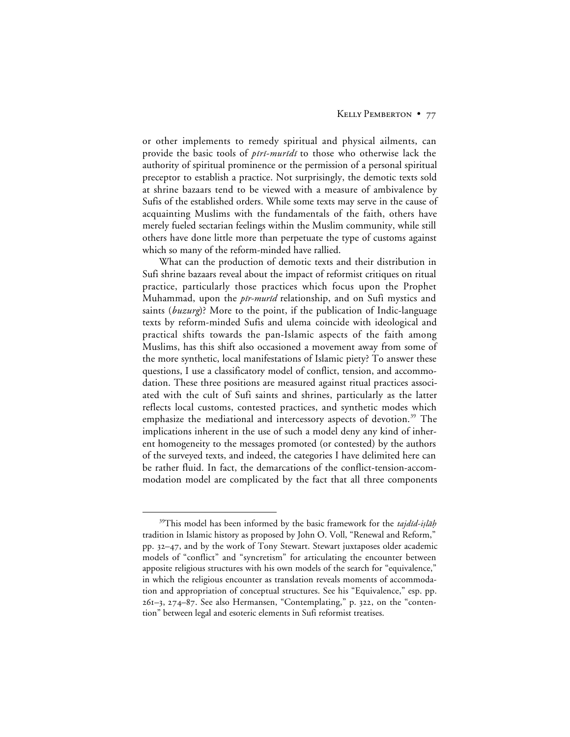or other implements to remedy spiritual and physical ailments, can provide the basic tools of piri-muridi to those who otherwise lack the authority of spiritual prominence or the permission of a personal spiritual preceptor to establish a practice. Not surprisingly, the demotic texts sold at shrine bazaars tend to be viewed with a measure of ambivalence by Sufis of the established orders. While some texts may serve in the cause of acquainting Muslims with the fundamentals of the faith, others have merely fueled sectarian feelings within the Muslim community, while still others have done little more than perpetuate the type of customs against which so many of the reform-minded have rallied.

What can the production of demotic texts and their distribution in Sufi shrine bazaars reveal about the impact of reformist critiques on ritual practice, particularly those practices which focus upon the Prophet Muhammad, upon the *pīr-murīd* relationship, and on Sufi mystics and saints (*buzurg*)? More to the point, if the publication of Indic-language texts by reform-minded Sufis and ulema coincide with ideological and practical shifts towards the pan-Islamic aspects of the faith among Muslims, has this shift also occasioned a movement away from some of the more synthetic, local manifestations of Islamic piety? To answer these questions, I use a classificatory model of conflict, tension, and accommodation. These three positions are measured against ritual practices associated with the cult of Sufi saints and shrines, particularly as the latter reflects local customs, contested practices, and synthetic modes which emphasize the mediational and intercessory aspects of devotion.<sup>39</sup> The implications inherent in the use of such a model deny any kind of inherent homogeneity to the messages promoted (or contested) by the authors of the surveyed texts, and indeed, the categories I have delimited here can be rather fluid. In fact, the demarcations of the conflict-tension-accommodation model are complicated by the fact that all three components

<sup>&</sup>lt;sup>39</sup>This model has been informed by the basic framework for the tajdīd-iṣlāḥ tradition in Islamic history as proposed by John O. Voll, "Renewal and Reform," pp. 32-47, and by the work of Tony Stewart. Stewart juxtaposes older academic models of "conflict" and "syncretism" for articulating the encounter between apposite religious structures with his own models of the search for "equivalence," in which the religious encounter as translation reveals moments of accommodation and appropriation of conceptual structures. See his "Equivalence," esp. pp.  $261-3$ ,  $274-87$ . See also Hermansen, "Contemplating," p. 322, on the "contention" between legal and esoteric elements in Sufi reformist treatises.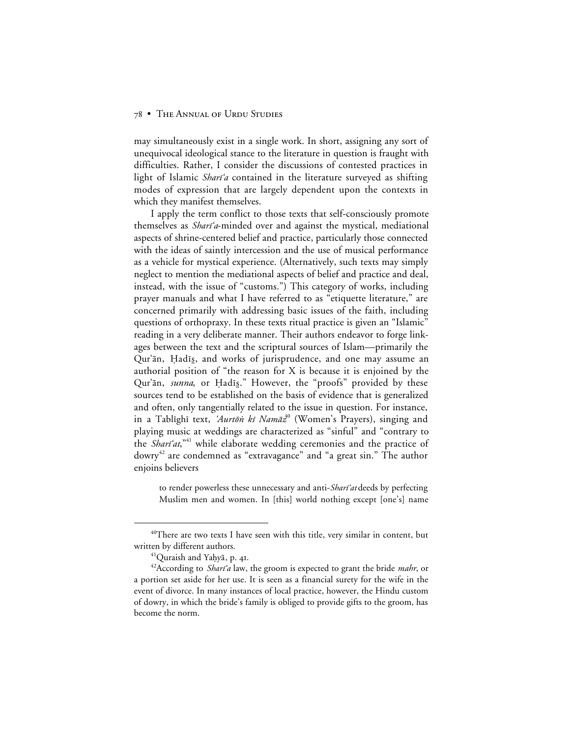may simultaneously exist in a single work. In short, assigning any sort of unequivocal ideological stance to the literature in question is fraught with difficulties. Rather, I consider the discussions of contested practices in light of Islamic *Shari'a* contained in the literature surveyed as shifting modes of expression that are largely dependent upon the contexts in which they manifest themselves.

I apply the term conflict to those texts that self-consciously promote themselves as *Shari'a*-minded over and against the mystical, mediational aspects of shrine-centered belief and practice, particularly those connected with the ideas of saintly intercession and the use of musical performance as a vehicle for mystical experience. (Alternatively, such texts may simply neglect to mention the mediational aspects of belief and practice and deal, instead, with the issue of "customs.") This category of works, including prayer manuals and what I have referred to as "etiquette literature," are concerned primarily with addressing basic issues of the faith, including questions of orthopraxy. In these texts ritual practice is given an "Islamic" reading in a very deliberate manner. Their authors endeavor to forge linkages between the text and the scriptural sources of Islam—primarily the Qur'ān, Hadīs, and works of jurisprudence, and one may assume an authorial position of "the reason for X is because it is enjoined by the Qur'ān, *sunna*, or Ḥadīs." However, the "proofs" provided by these sources tend to be established on the basis of evidence that is generalized and often, only tangentially related to the issue in question. For instance, in a Tablighi text, 'Aurtōn kī Namāz<sup>40</sup> (Women's Prayers), singing and playing music at weddings are characterized as "sinful" and "contrary to the *Shart'at*,"<sup>41</sup> while elaborate wedding ceremonies and the practice of dowry<sup>42</sup> are condemned as "extravagance" and "a great sin." The author enjoins believers

to render powerless these unnecessary and anti-Shari'at deeds by perfecting Muslim men and women. In [this] world nothing except [one's] name

<sup>&</sup>lt;sup>40</sup>There are two texts I have seen with this title, very similar in content, but written by different authors.

 $41$ Quraish and Yaḥyā, p. 41.

 $42$ According to *Shari'a* law, the groom is expected to grant the bride *mahr*, or a portion set aside for her use. It is seen as a financial surety for the wife in the event of divorce. In many instances of local practice, however, the Hindu custom of dowry, in which the bride's family is obliged to provide gifts to the groom, has become the norm.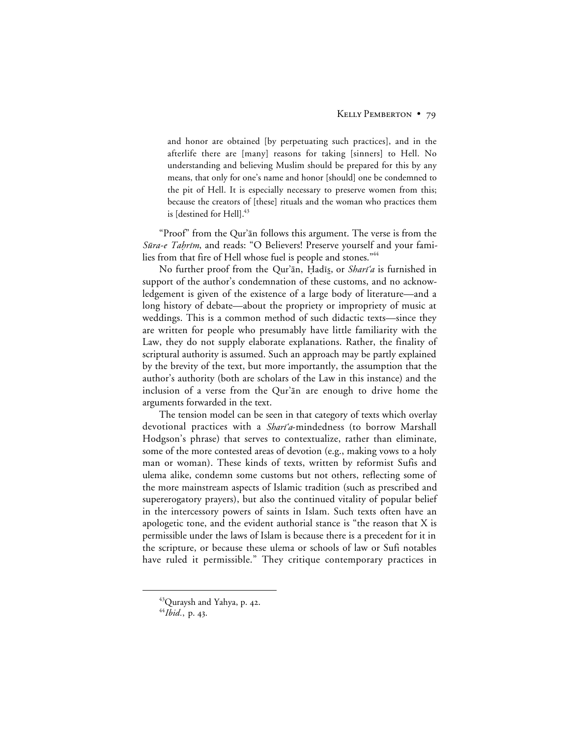and honor are obtained [by perpetuating such practices], and in the afterlife there are [many] reasons for taking [sinners] to Hell. No understanding and believing Muslim should be prepared for this by any means, that only for one's name and honor [should] one be condemned to the pit of Hell. It is especially necessary to preserve women from this; because the creators of [these] rituals and the woman who practices them is [destined for Hell].<sup>43</sup>

"Proof" from the Qur'ān follows this argument. The verse is from the Sūra-e Tahrīm, and reads: "O Believers! Preserve yourself and your families from that fire of Hell whose fuel is people and stones."<sup>44</sup>

No further proof from the Qur'ān, Ḥadīs, or *Sharī'a* is furnished in support of the author's condemnation of these customs, and no acknowledgement is given of the existence of a large body of literature—and a long history of debate—about the propriety or impropriety of music at weddings. This is a common method of such didactic texts—since they are written for people who presumably have little familiarity with the Law, they do not supply elaborate explanations. Rather, the finality of scriptural authority is assumed. Such an approach may be partly explained by the brevity of the text, but more importantly, the assumption that the author's authority (both are scholars of the Law in this instance) and the inclusion of a verse from the Qur'an are enough to drive home the arguments forwarded in the text.

The tension model can be seen in that category of texts which overlay devotional practices with a *Shari'a*-mindedness (to borrow Marshall Hodgson's phrase) that serves to contextualize, rather than eliminate, some of the more contested areas of devotion (e.g., making vows to a holy man or woman). These kinds of texts, written by reformist Sufis and ulema alike, condemn some customs but not others, reflecting some of the more mainstream aspects of Islamic tradition (such as prescribed and supererogatory prayers), but also the continued vitality of popular belief in the intercessory powers of saints in Islam. Such texts often have an apologetic tone, and the evident authorial stance is "the reason that X is permissible under the laws of Islam is because there is a precedent for it in the scripture, or because these ulema or schools of law or Sufi notables have ruled it permissible." They critique contemporary practices in

<sup>&</sup>lt;sup>43</sup>Quraysh and Yahya, p. 42.

<sup>&</sup>lt;sup>44</sup>*Ibid.*, p. 43.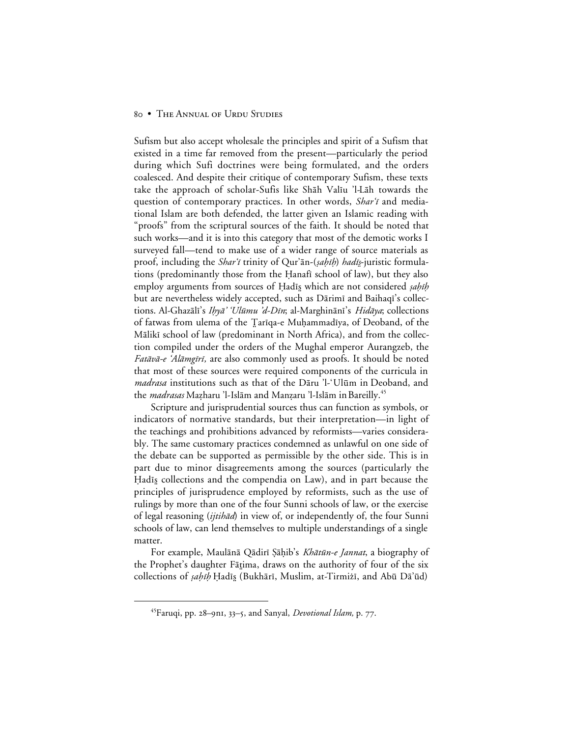Sufism but also accept wholesale the principles and spirit of a Sufism that existed in a time far removed from the present—particularly the period during which Sufi doctrines were being formulated, and the orders coalesced. And despite their critique of contemporary Sufism, these texts take the approach of scholar-Sufis like Shāh Valīu 'l-Lāh towards the question of contemporary practices. In other words, Shar'i and mediational Islam are both defended, the latter given an Islamic reading with "proofs" from the scriptural sources of the faith. It should be noted that such works—and it is into this category that most of the demotic works I surveyed fall—tend to make use of a wider range of source materials as proof, including the *Shar'i* trinity of Qur'ān-(sahīh) hadīs-juristic formulations (predominantly those from the Hanafi school of law), but they also employ arguments from sources of Hadīs which are not considered *sahīh* but are nevertheless widely accepted, such as Dārimī and Baihaqī's collections. Al-Ghazālī's Ihyā' 'Ulūmu 'd-Dīn; al-Marghinānī's Hidāya; collections of fatwas from ulema of the Tariqa-e Muḥammadīya, of Deoband, of the Mālikī school of law (predominant in North Africa), and from the collection compiled under the orders of the Mughal emperor Aurangzeb, the *Fatāvā-e 'Alāmgīrī*, are also commonly used as proofs. It should be noted that most of these sources were required components of the curricula in *madrasa* institutions such as that of the Dāru 'l-'Ulūm in Deoband, and the *madrasas* Mazharu 'l-Islām and Manzaru 'l-Islām in Bareilly.<sup>45</sup>

Scripture and jurisprudential sources thus can function as symbols, or indicators of normative standards, but their interpretation—in light of the teachings and prohibitions advanced by reformists—varies considerably. The same customary practices condemned as unlawful on one side of the debate can be supported as permissible by the other side. This is in part due to minor disagreements among the sources (particularly the Hadis collections and the compendia on Law), and in part because the principles of jurisprudence employed by reformists, such as the use of rulings by more than one of the four Sunni schools of law, or the exercise of legal reasoning (ijtihād) in view of, or independently of, the four Sunni schools of law, can lend themselves to multiple understandings of a single matter.

For example, Maulānā Qādirī Şāḥib's Khātūn-e Jannat, a biography of the Prophet's daughter Fātima, draws on the authority of four of the six collections of *sahīh* Ḥadīs (Bukhārī, Muslim, at-Tirmiżī, and Abū Dā'ūd)

<sup>&</sup>lt;sup>45</sup>Faruqi, pp. 28–9n1, 33–5, and Sanyal, *Devotional Islam*, p. 77.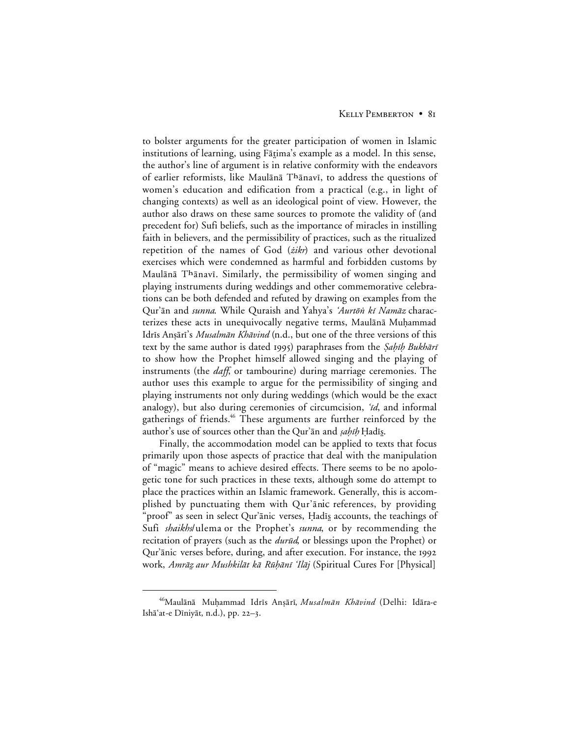to bolster arguments for the greater participation of women in Islamic institutions of learning, using Fātima's example as a model. In this sense, the author's line of argument is in relative conformity with the endeavors of earlier reformists, like Maulānā Thānavī, to address the questions of women's education and edification from a practical (e.g., in light of changing contexts) as well as an ideological point of view. However, the author also draws on these same sources to promote the validity of (and precedent for) Sufi beliefs, such as the importance of miracles in instilling faith in believers, and the permissibility of practices, such as the ritualized repetition of the names of God (*zikr*) and various other devotional exercises which were condemned as harmful and forbidden customs by Maulānā Thānavī. Similarly, the permissibility of women singing and playing instruments during weddings and other commemorative celebrations can be both defended and refuted by drawing on examples from the Qur'ān and *sunna*. While Quraish and Yahya's 'Aurtōn kī Namāz characterizes these acts in unequivocally negative terms, Maulānā Muḥammad Idrīs Anṣārī's Musalmān Khāvind (n.d., but one of the three versions of this text by the same author is dated 1995) paraphrases from the *Şaḥiḥ Bukhārī* to show how the Prophet himself allowed singing and the playing of instruments (the *daff*, or tambourine) during marriage ceremonies. The author uses this example to argue for the permissibility of singing and playing instruments not only during weddings (which would be the exact analogy), but also during ceremonies of circumcision,  $id$ , and informal gatherings of friends.<sup>46</sup> These arguments are further reinforced by the author's use of sources other than the Qur'ān and *sahīh* Hadīs.

Finally, the accommodation model can be applied to texts that focus primarily upon those aspects of practice that deal with the manipulation of "magic" means to achieve desired effects. There seems to be no apologetic tone for such practices in these texts, although some do attempt to place the practices within an Islamic framework. Generally, this is accomplished by punctuating them with Qur'anic references, by providing 'proof" as seen in select Qur'ānic verses, Ḥadīs accounts, the teachings of Sufi *shaikhs*/ulema or the Prophet's *sunna*, or by recommending the recitation of prayers (such as the *durūd*, or blessings upon the Prophet) or Qur'ānic verses before, during, and after execution. For instance, the 1992 work, Amrāz aur Mushkilāt kā Rūḥānī 'Ilāj (Spiritual Cures For [Physical]

<sup>&</sup>lt;sup>46</sup>Maulānā Muḥammad Idrīs Anṣārī, Musalmān Khāvind (Delhi: Idāra-e Ishā'at-e Dīniyāt, n.d.), pp. 22-3.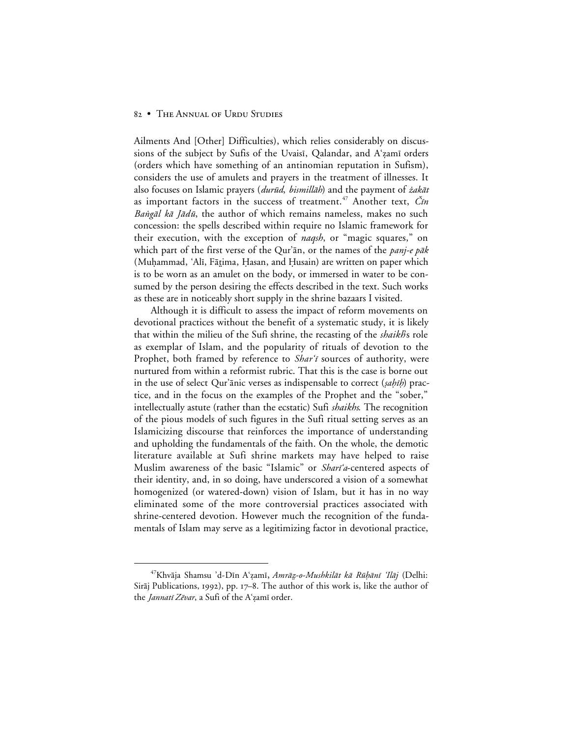Ailments And [Other] Difficulties), which relies considerably on discussions of the subject by Sufis of the Uvaisī, Qalandar, and A'zamī orders (orders which have something of an antinomian reputation in Sufism), considers the use of amulets and prayers in the treatment of illnesses. It also focuses on Islamic prayers (durūd, bismillāh) and the payment of żakāt as important factors in the success of treatment.<sup>47</sup> Another text,  $\check{C}\mathit{in}$ Bangāl kā Jādū, the author of which remains nameless, makes no such concession: the spells described within require no Islamic framework for their execution, with the exception of *naqsh*, or "magic squares," on which part of the first verse of the Qur'an, or the names of the *panj-e pak* (Muhammad, 'Alī, Fātima, Hasan, and Husain) are written on paper which is to be worn as an amulet on the body, or immersed in water to be consumed by the person desiring the effects described in the text. Such works as these are in noticeably short supply in the shrine bazaars I visited.

Although it is difficult to assess the impact of reform movements on devotional practices without the benefit of a systematic study, it is likely that within the milieu of the Sufi shrine, the recasting of the *shaikh*'s role as exemplar of Islam, and the popularity of rituals of devotion to the Prophet, both framed by reference to Shar'i sources of authority, were nurtured from within a reformist rubric. That this is the case is borne out in the use of select Qur'ānic verses as indispensable to correct (sahīh) practice, and in the focus on the examples of the Prophet and the "sober," intellectually astute (rather than the ecstatic) Sufi *shaikhs*. The recognition of the pious models of such figures in the Sufi ritual setting serves as an Islamicizing discourse that reinforces the importance of understanding and upholding the fundamentals of the faith. On the whole, the demotic literature available at Sufi shrine markets may have helped to raise Muslim awareness of the basic "Islamic" or Shari'a-centered aspects of their identity, and, in so doing, have underscored a vision of a somewhat homogenized (or watered-down) vision of Islam, but it has in no way eliminated some of the more controversial practices associated with shrine-centered devotion. However much the recognition of the fundamentals of Islam may serve as a legitimizing factor in devotional practice,

<sup>&</sup>lt;sup>47</sup>Khvāja Shamsu 'd-Dīn Aʻzamī, Amrāz-o-Mushkilāt kā Rūhānī 'Ilāj (Delhi: Sirāj Publications, 1992), pp. 17–8. The author of this work is, like the author of the *Jannatī Zēvar*, a Sufi of the A'zamī order.